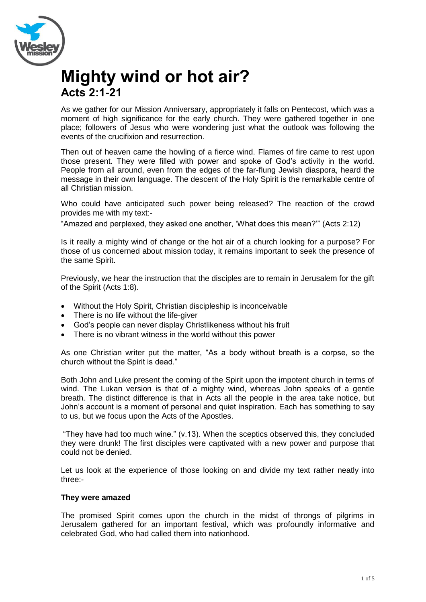

## **Mighty wind or hot air? Acts 2:1-21**

As we gather for our Mission Anniversary, appropriately it falls on Pentecost, which was a moment of high significance for the early church. They were gathered together in one place; followers of Jesus who were wondering just what the outlook was following the events of the crucifixion and resurrection.

Then out of heaven came the howling of a fierce wind. Flames of fire came to rest upon those present. They were filled with power and spoke of God's activity in the world. People from all around, even from the edges of the far-flung Jewish diaspora, heard the message in their own language. The descent of the Holy Spirit is the remarkable centre of all Christian mission.

Who could have anticipated such power being released? The reaction of the crowd provides me with my text:-

"Amazed and perplexed, they asked one another, 'What does this mean?'" (Acts 2:12)

Is it really a mighty wind of change or the hot air of a church looking for a purpose? For those of us concerned about mission today, it remains important to seek the presence of the same Spirit.

Previously, we hear the instruction that the disciples are to remain in Jerusalem for the gift of the Spirit (Acts 1:8).

- Without the Holy Spirit, Christian discipleship is inconceivable
- There is no life without the life-giver
- God's people can never display Christlikeness without his fruit
- There is no vibrant witness in the world without this power

As one Christian writer put the matter, "As a body without breath is a corpse, so the church without the Spirit is dead."

Both John and Luke present the coming of the Spirit upon the impotent church in terms of wind. The Lukan version is that of a mighty wind, whereas John speaks of a gentle breath. The distinct difference is that in Acts all the people in the area take notice, but John's account is a moment of personal and quiet inspiration. Each has something to say to us, but we focus upon the Acts of the Apostles.

"They have had too much wine." (v.13). When the sceptics observed this, they concluded they were drunk! The first disciples were captivated with a new power and purpose that could not be denied.

Let us look at the experience of those looking on and divide my text rather neatly into three:-

## **They were amazed**

The promised Spirit comes upon the church in the midst of throngs of pilgrims in Jerusalem gathered for an important festival, which was profoundly informative and celebrated God, who had called them into nationhood.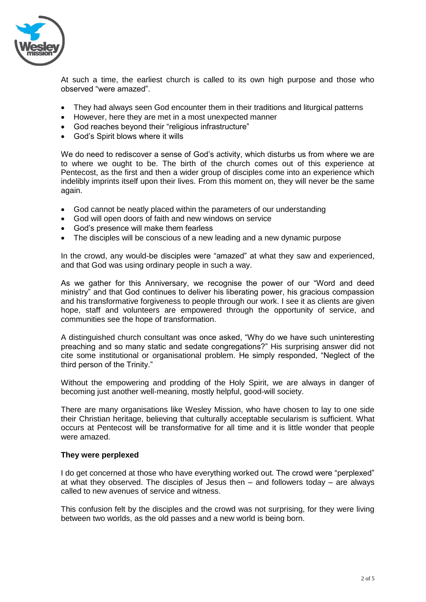

At such a time, the earliest church is called to its own high purpose and those who observed "were amazed".

- They had always seen God encounter them in their traditions and liturgical patterns
- However, here they are met in a most unexpected manner
- God reaches beyond their "religious infrastructure"
- God's Spirit blows where it wills

We do need to rediscover a sense of God's activity, which disturbs us from where we are to where we ought to be. The birth of the church comes out of this experience at Pentecost, as the first and then a wider group of disciples come into an experience which indelibly imprints itself upon their lives. From this moment on, they will never be the same again.

- God cannot be neatly placed within the parameters of our understanding
- God will open doors of faith and new windows on service
- God's presence will make them fearless
- The disciples will be conscious of a new leading and a new dynamic purpose

In the crowd, any would-be disciples were "amazed" at what they saw and experienced, and that God was using ordinary people in such a way.

As we gather for this Anniversary, we recognise the power of our "Word and deed ministry" and that God continues to deliver his liberating power, his gracious compassion and his transformative forgiveness to people through our work. I see it as clients are given hope, staff and volunteers are empowered through the opportunity of service, and communities see the hope of transformation.

A distinguished church consultant was once asked, "Why do we have such uninteresting preaching and so many static and sedate congregations?" His surprising answer did not cite some institutional or organisational problem. He simply responded, "Neglect of the third person of the Trinity."

Without the empowering and prodding of the Holy Spirit, we are always in danger of becoming just another well-meaning, mostly helpful, good-will society.

There are many organisations like Wesley Mission, who have chosen to lay to one side their Christian heritage, believing that culturally acceptable secularism is sufficient. What occurs at Pentecost will be transformative for all time and it is little wonder that people were amazed.

## **They were perplexed**

I do get concerned at those who have everything worked out. The crowd were "perplexed" at what they observed. The disciples of Jesus then – and followers today – are always called to new avenues of service and witness.

This confusion felt by the disciples and the crowd was not surprising, for they were living between two worlds, as the old passes and a new world is being born.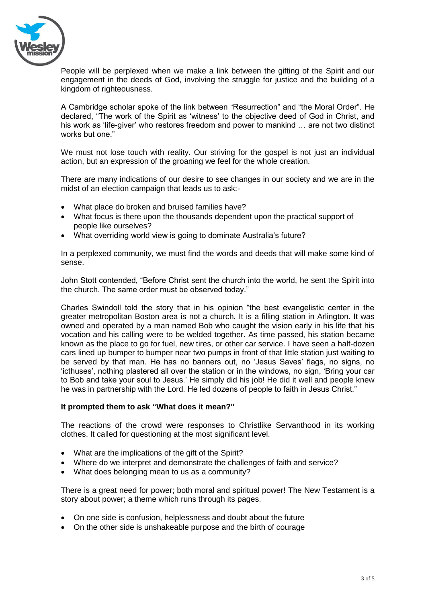

People will be perplexed when we make a link between the gifting of the Spirit and our engagement in the deeds of God, involving the struggle for justice and the building of a kingdom of righteousness.

A Cambridge scholar spoke of the link between "Resurrection" and "the Moral Order". He declared, "The work of the Spirit as 'witness' to the objective deed of God in Christ, and his work as 'life-giver' who restores freedom and power to mankind … are not two distinct works but one."

We must not lose touch with reality. Our striving for the gospel is not just an individual action, but an expression of the groaning we feel for the whole creation.

There are many indications of our desire to see changes in our society and we are in the midst of an election campaign that leads us to ask:-

- What place do broken and bruised families have?
- What focus is there upon the thousands dependent upon the practical support of people like ourselves?
- What overriding world view is going to dominate Australia's future?

In a perplexed community, we must find the words and deeds that will make some kind of sense.

John Stott contended, "Before Christ sent the church into the world, he sent the Spirit into the church. The same order must be observed today."

Charles Swindoll told the story that in his opinion "the best evangelistic center in the greater metropolitan Boston area is not a church. It is a filling station in Arlington. It was owned and operated by a man named Bob who caught the vision early in his life that his vocation and his calling were to be welded together. As time passed, his station became known as the place to go for fuel, new tires, or other car service. I have seen a half-dozen cars lined up bumper to bumper near two pumps in front of that little station just waiting to be served by that man. He has no banners out, no 'Jesus Saves' flags, no signs, no 'icthuses', nothing plastered all over the station or in the windows, no sign, 'Bring your car to Bob and take your soul to Jesus.' He simply did his job! He did it well and people knew he was in partnership with the Lord. He led dozens of people to faith in Jesus Christ."

## **It prompted them to ask "What does it mean?"**

The reactions of the crowd were responses to Christlike Servanthood in its working clothes. It called for questioning at the most significant level.

- What are the implications of the gift of the Spirit?
- Where do we interpret and demonstrate the challenges of faith and service?
- What does belonging mean to us as a community?

There is a great need for power; both moral and spiritual power! The New Testament is a story about power; a theme which runs through its pages.

- On one side is confusion, helplessness and doubt about the future
- On the other side is unshakeable purpose and the birth of courage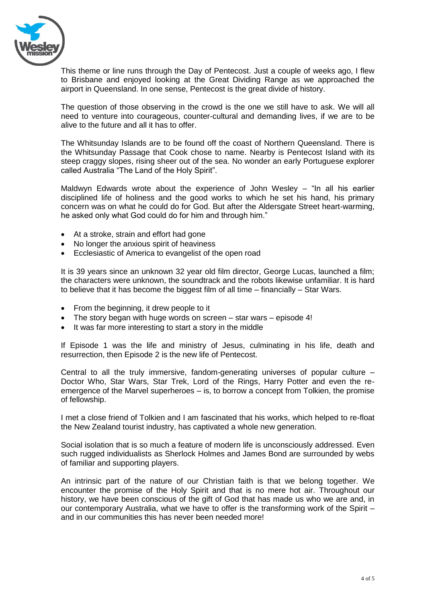

This theme or line runs through the Day of Pentecost. Just a couple of weeks ago, I flew to Brisbane and enjoyed looking at the Great Dividing Range as we approached the airport in Queensland. In one sense, Pentecost is the great divide of history.

The question of those observing in the crowd is the one we still have to ask. We will all need to venture into courageous, counter-cultural and demanding lives, if we are to be alive to the future and all it has to offer.

The Whitsunday Islands are to be found off the coast of Northern Queensland. There is the Whitsunday Passage that Cook chose to name. Nearby is Pentecost Island with its steep craggy slopes, rising sheer out of the sea. No wonder an early Portuguese explorer called Australia "The Land of the Holy Spirit".

Maldwyn Edwards wrote about the experience of John Wesley – "In all his earlier disciplined life of holiness and the good works to which he set his hand, his primary concern was on what he could do for God. But after the Aldersgate Street heart-warming, he asked only what God could do for him and through him."

- At a stroke, strain and effort had gone
- No longer the anxious spirit of heaviness
- Ecclesiastic of America to evangelist of the open road

It is 39 years since an unknown 32 year old film director, George Lucas, launched a film; the characters were unknown, the soundtrack and the robots likewise unfamiliar. It is hard to believe that it has become the biggest film of all time – financially – Star Wars.

- From the beginning, it drew people to it
- The story began with huge words on screen star wars episode 4!
- It was far more interesting to start a story in the middle

If Episode 1 was the life and ministry of Jesus, culminating in his life, death and resurrection, then Episode 2 is the new life of Pentecost.

Central to all the truly immersive, fandom-generating universes of popular culture – Doctor Who, Star Wars, Star Trek, Lord of the Rings, Harry Potter and even the reemergence of the Marvel superheroes – is, to borrow a concept from Tolkien, the promise of fellowship.

I met a close friend of Tolkien and I am fascinated that his works, which helped to re-float the New Zealand tourist industry, has captivated a whole new generation.

Social isolation that is so much a feature of modern life is unconsciously addressed. Even such rugged individualists as Sherlock Holmes and James Bond are surrounded by webs of familiar and supporting players.

An intrinsic part of the nature of our Christian faith is that we belong together. We encounter the promise of the Holy Spirit and that is no mere hot air. Throughout our history, we have been conscious of the gift of God that has made us who we are and, in our contemporary Australia, what we have to offer is the transforming work of the Spirit – and in our communities this has never been needed more!